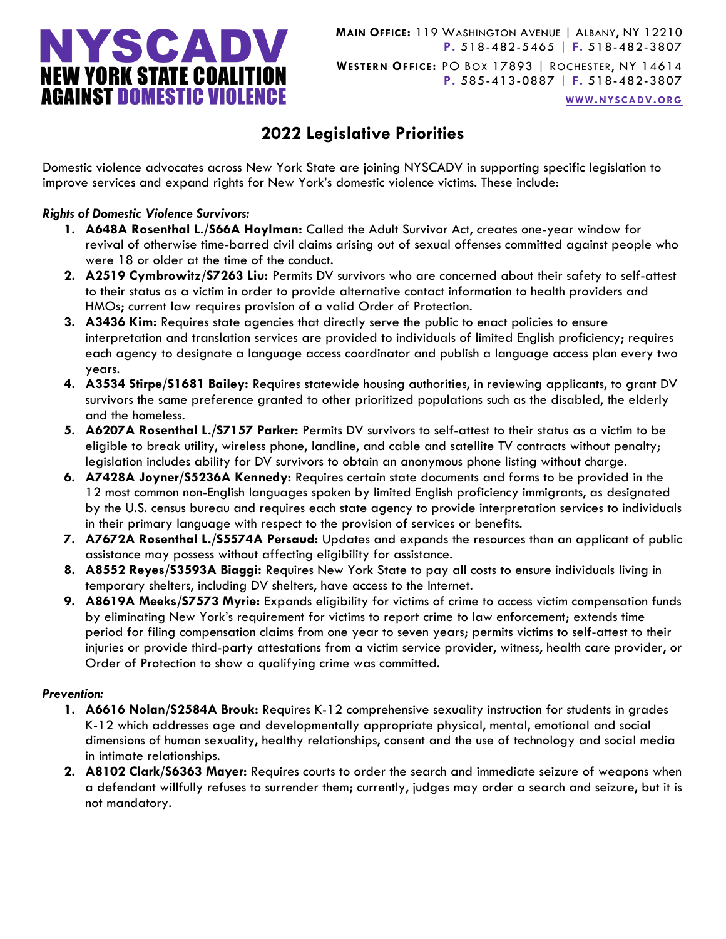

**WWW.[NYSCADV](file://///server/data/Official%20Documents/NYSCADV%20Logo%20&%20Branding/2015%20Letterhead/www.nyscadv.org).ORG**

# **2022 Legislative Priorities**

Domestic violence advocates across New York State are joining NYSCADV in supporting specific legislation to improve services and expand rights for New York's domestic violence victims. These include:

## *Rights of Domestic Violence Survivors:*

- **1. A648A Rosenthal L./S66A Hoylman:** Called the Adult Survivor Act, creates one-year window for revival of otherwise time-barred civil claims arising out of sexual offenses committed against people who were 18 or older at the time of the conduct.
- **2. A2519 Cymbrowitz/S7263 Liu:** Permits DV survivors who are concerned about their safety to self-attest to their status as a victim in order to provide alternative contact information to health providers and HMOs; current law requires provision of a valid Order of Protection.
- **3. A3436 Kim:** Requires state agencies that directly serve the public to enact policies to ensure interpretation and translation services are provided to individuals of limited English proficiency; requires each agency to designate a language access coordinator and publish a language access plan every two years.
- **4. A3534 Stirpe/S1681 Bailey:** Requires statewide housing authorities, in reviewing applicants, to grant DV survivors the same preference granted to other prioritized populations such as the disabled, the elderly and the homeless.
- **5. A6207A Rosenthal L./S7157 Parker:** Permits DV survivors to self-attest to their status as a victim to be eligible to break utility, wireless phone, landline, and cable and satellite TV contracts without penalty; legislation includes ability for DV survivors to obtain an anonymous phone listing without charge.
- **6. A7428A Joyner/S5236A Kennedy:** Requires certain state documents and forms to be provided in the 12 most common non-English languages spoken by limited English proficiency immigrants, as designated by the U.S. census bureau and requires each state agency to provide interpretation services to individuals in their primary language with respect to the provision of services or benefits.
- **7. A7672A Rosenthal L./S5574A Persaud:** Updates and expands the resources than an applicant of public assistance may possess without affecting eligibility for assistance.
- **8. A8552 Reyes/S3593A Biaggi:** Requires New York State to pay all costs to ensure individuals living in temporary shelters, including DV shelters, have access to the Internet.
- **9. A8619A Meeks/S7573 Myrie:** Expands eligibility for victims of crime to access victim compensation funds by eliminating New York's requirement for victims to report crime to law enforcement; extends time period for filing compensation claims from one year to seven years; permits victims to self-attest to their injuries or provide third-party attestations from a victim service provider, witness, health care provider, or Order of Protection to show a qualifying crime was committed.

## *Prevention:*

- **1. A6616 Nolan/S2584A Brouk:** Requires K-12 comprehensive sexuality instruction for students in grades K-12 which addresses age and developmentally appropriate physical, mental, emotional and social dimensions of human sexuality, healthy relationships, consent and the use of technology and social media in intimate relationships.
- **2. A8102 Clark/S6363 Mayer:** Requires courts to order the search and immediate seizure of weapons when a defendant willfully refuses to surrender them; currently, judges may order a search and seizure, but it is not mandatory.